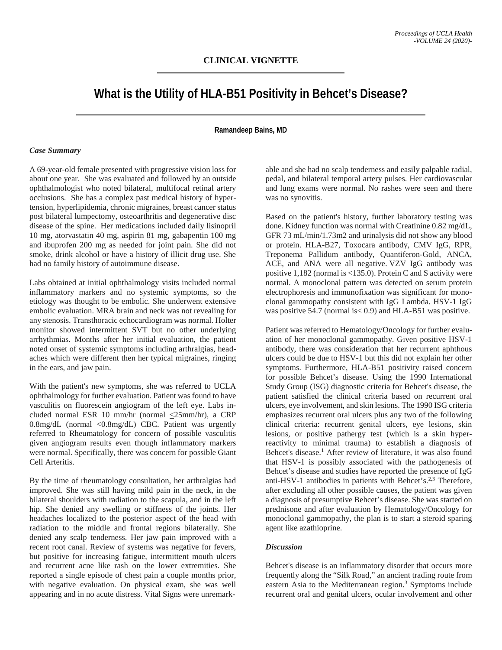# **What is the Utility of HLA-B51 Positivity in Behcet's Disease?**

# **Ramandeep Bains, MD**

### *Case Summary*

A 69-year-old female presented with progressive vision loss for about one year. She was evaluated and followed by an outside ophthalmologist who noted bilateral, multifocal retinal artery occlusions. She has a complex past medical history of hypertension, hyperlipidemia, chronic migraines, breast cancer status post bilateral lumpectomy, osteoarthritis and degenerative disc disease of the spine. Her medications included daily lisinopril 10 mg, atorvastatin 40 mg, aspirin 81 mg, gabapentin 100 mg and ibuprofen 200 mg as needed for joint pain. She did not smoke, drink alcohol or have a history of illicit drug use. She had no family history of autoimmune disease.

Labs obtained at initial ophthalmology visits included normal inflammatory markers and no systemic symptoms, so the etiology was thought to be embolic. She underwent extensive embolic evaluation. MRA brain and neck was not revealing for any stenosis. Transthoracic echocardiogram was normal. Holter monitor showed intermittent SVT but no other underlying arrhythmias. Months after her initial evaluation, the patient noted onset of systemic symptoms including arthralgias, headaches which were different then her typical migraines, ringing in the ears, and jaw pain.

With the patient's new symptoms, she was referred to UCLA ophthalmology for further evaluation. Patient was found to have vasculitis on fluorescein angiogram of the left eye. Labs included normal ESR 10 mm/hr (normal  $\leq$ 25mm/hr), a CRP 0.8mg/dL (normal <0.8mg/dL) CBC. Patient was urgently referred to Rheumatology for concern of possible vasculitis given angiogram results even though inflammatory markers were normal. Specifically, there was concern for possible Giant Cell Arteritis.

By the time of rheumatology consultation, her arthralgias had improved. She was still having mild pain in the neck, in the bilateral shoulders with radiation to the scapula, and in the left hip. She denied any swelling or stiffness of the joints. Her headaches localized to the posterior aspect of the head with radiation to the middle and frontal regions bilaterally. She denied any scalp tenderness. Her jaw pain improved with a recent root canal. Review of systems was negative for fevers, but positive for increasing fatigue, intermittent mouth ulcers and recurrent acne like rash on the lower extremities. She reported a single episode of chest pain a couple months prior, with negative evaluation. On physical exam, she was well appearing and in no acute distress. Vital Signs were unremarkable and she had no scalp tenderness and easily palpable radial, pedal, and bilateral temporal artery pulses. Her cardiovascular and lung exams were normal. No rashes were seen and there was no synovitis.

Based on the patient's history, further laboratory testing was done. Kidney function was normal with Creatinine 0.82 mg/dL, GFR 73 mL/min/1.73m2 and urinalysis did not show any blood or protein. HLA-B27, Toxocara antibody, CMV IgG, RPR, Treponema Pallidum antibody, Quantiferon-Gold, ANCA, ACE, and ANA were all negative. VZV IgG antibody was positive 1,182 (normal is <135.0). Protein C and S activity were normal. A monoclonal pattern was detected on serum protein electrophoresis and immunofixation was significant for monoclonal gammopathy consistent with IgG Lambda. HSV-1 IgG was positive 54.7 (normal is< 0.9) and HLA-B51 was positive.

Patient was referred to Hematology/Oncology for further evaluation of her monoclonal gammopathy. Given positive HSV-1 antibody, there was consideration that her recurrent aphthous ulcers could be due to HSV-1 but this did not explain her other symptoms. Furthermore, HLA-B51 positivity raised concern for possible Behcet's disease. Using the 1990 International Study Group (ISG) diagnostic criteria for Behcet's disease, the patient satisfied the clinical criteria based on recurrent oral ulcers, eye involvement, and skin lesions. The 1990 ISG criteria emphasizes recurrent oral ulcers plus any two of the following clinical criteria: recurrent genital ulcers, eye lesions, skin lesions, or positive pathergy test (which is a skin hyperreactivity to minimal trauma) to establish a diagnosis of Behcet's disease.<sup>1</sup> After review of literature, it was also found that HSV-1 is possibly associated with the pathogenesis of Behcet's disease and studies have reported the presence of IgG anti-HSV-1 antibodies in patients with Behcet's. $2,3$  Therefore, after excluding all other possible causes, the patient was given a diagnosis of presumptive Behcet's disease. She was started on prednisone and after evaluation by Hematology/Oncology for monoclonal gammopathy, the plan is to start a steroid sparing agent like azathioprine.

## *Discussion*

Behcet's disease is an inflammatory disorder that occurs more frequently along the "Silk Road," an ancient trading route from eastern Asia to the Mediterranean region.3 Symptoms include recurrent oral and genital ulcers, ocular involvement and other